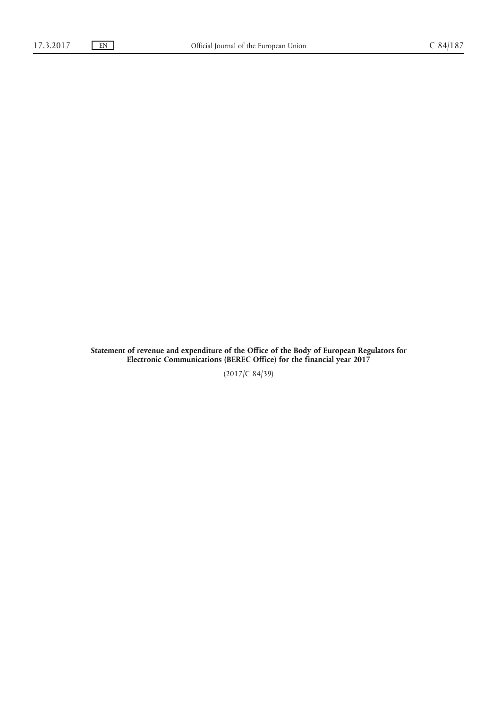**Statement of revenue and expenditure of the Office of the Body of European Regulators for Electronic Communications (BEREC Office) for the financial year 2017**

(2017/C 84/39)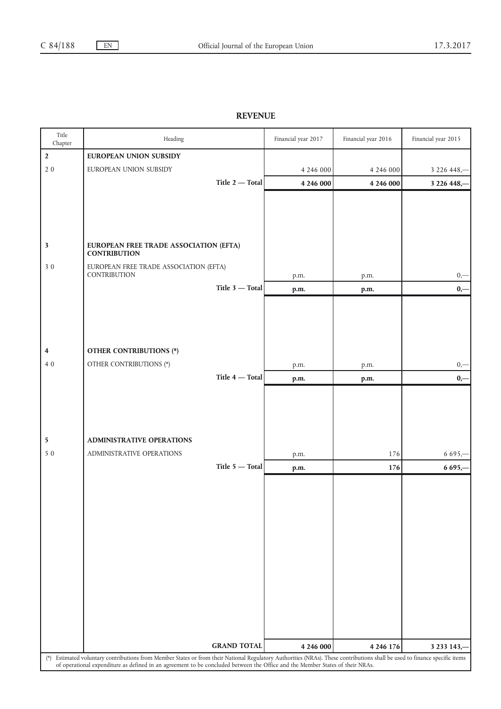## **REVENUE**

| Title<br>Chapter                                                                                                                                                                                                                                                                                            | Heading                                                       | Financial year 2017 | Financial year 2016 | Financial year 2015 |
|-------------------------------------------------------------------------------------------------------------------------------------------------------------------------------------------------------------------------------------------------------------------------------------------------------------|---------------------------------------------------------------|---------------------|---------------------|---------------------|
| $\overline{2}$                                                                                                                                                                                                                                                                                              | <b>EUROPEAN UNION SUBSIDY</b>                                 |                     |                     |                     |
| $2\,0$                                                                                                                                                                                                                                                                                                      | EUROPEAN UNION SUBSIDY                                        | 4 246 000           | 4 246 000           | 3 2 2 6 4 4 8, -    |
|                                                                                                                                                                                                                                                                                                             | Title $2$ - Total                                             | 4 246 000           | 4 246 000           | 3 226 448,-         |
|                                                                                                                                                                                                                                                                                                             |                                                               |                     |                     |                     |
|                                                                                                                                                                                                                                                                                                             |                                                               |                     |                     |                     |
|                                                                                                                                                                                                                                                                                                             |                                                               |                     |                     |                     |
|                                                                                                                                                                                                                                                                                                             |                                                               |                     |                     |                     |
| $\overline{\mathbf{3}}$                                                                                                                                                                                                                                                                                     | EUROPEAN FREE TRADE ASSOCIATION (EFTA)<br><b>CONTRIBUTION</b> |                     |                     |                     |
| 30                                                                                                                                                                                                                                                                                                          | EUROPEAN FREE TRADE ASSOCIATION (EFTA)                        |                     |                     |                     |
|                                                                                                                                                                                                                                                                                                             | CONTRIBUTION                                                  | p.m.                | p.m.                | $0, -$              |
|                                                                                                                                                                                                                                                                                                             | Title $3$ - Total                                             | p.m.                | p.m.                | $0,-$               |
|                                                                                                                                                                                                                                                                                                             |                                                               |                     |                     |                     |
|                                                                                                                                                                                                                                                                                                             |                                                               |                     |                     |                     |
|                                                                                                                                                                                                                                                                                                             |                                                               |                     |                     |                     |
|                                                                                                                                                                                                                                                                                                             |                                                               |                     |                     |                     |
| 4<br>40                                                                                                                                                                                                                                                                                                     | <b>OTHER CONTRIBUTIONS (*)</b><br>OTHER CONTRIBUTIONS (*)     |                     |                     |                     |
|                                                                                                                                                                                                                                                                                                             | Title $4$ – Total                                             | p.m.                | p.m.                | $0,-$               |
|                                                                                                                                                                                                                                                                                                             |                                                               | p.m.                | p.m.                | $0,-$               |
|                                                                                                                                                                                                                                                                                                             |                                                               |                     |                     |                     |
|                                                                                                                                                                                                                                                                                                             |                                                               |                     |                     |                     |
|                                                                                                                                                                                                                                                                                                             |                                                               |                     |                     |                     |
| 5                                                                                                                                                                                                                                                                                                           | <b>ADMINISTRATIVE OPERATIONS</b>                              |                     |                     |                     |
| 50                                                                                                                                                                                                                                                                                                          | ADMINISTRATIVE OPERATIONS                                     | p.m.                | 176                 | $6695 -$            |
|                                                                                                                                                                                                                                                                                                             | Title 5 - Total                                               | p.m.                | 176                 | 6 695,-             |
|                                                                                                                                                                                                                                                                                                             |                                                               |                     |                     |                     |
|                                                                                                                                                                                                                                                                                                             |                                                               |                     |                     |                     |
|                                                                                                                                                                                                                                                                                                             |                                                               |                     |                     |                     |
|                                                                                                                                                                                                                                                                                                             |                                                               |                     |                     |                     |
|                                                                                                                                                                                                                                                                                                             |                                                               |                     |                     |                     |
|                                                                                                                                                                                                                                                                                                             |                                                               |                     |                     |                     |
|                                                                                                                                                                                                                                                                                                             |                                                               |                     |                     |                     |
|                                                                                                                                                                                                                                                                                                             |                                                               |                     |                     |                     |
|                                                                                                                                                                                                                                                                                                             |                                                               |                     |                     |                     |
|                                                                                                                                                                                                                                                                                                             |                                                               |                     |                     |                     |
|                                                                                                                                                                                                                                                                                                             |                                                               |                     |                     |                     |
|                                                                                                                                                                                                                                                                                                             |                                                               |                     |                     |                     |
|                                                                                                                                                                                                                                                                                                             | <b>GRAND TOTAL</b>                                            | 4 246 000           | 4 246 176           | 3 233 143,-         |
| (*) Estimated voluntary contributions from Member States or from their National Regulatory Authorities (NRAs). These contributions shall be used to finance specific items<br>of operational expenditure as defined in an agreement to be concluded between the Office and the Member States of their NRAs. |                                                               |                     |                     |                     |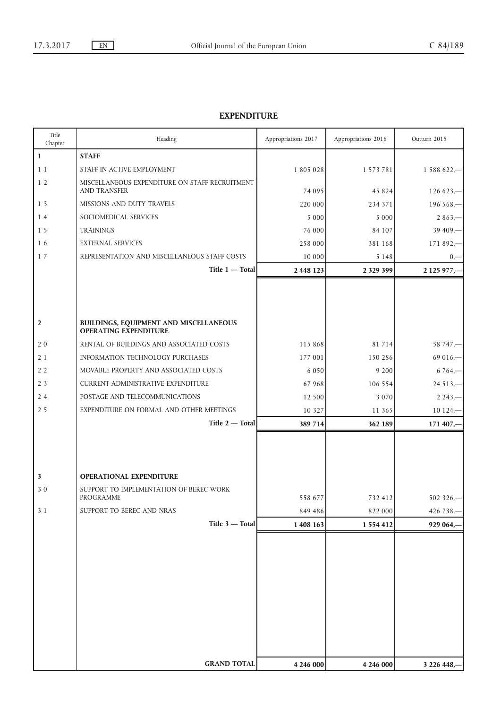## **EXPENDITURE**

| Title<br>Chapter        | Heading                                                                | Appropriations 2017 | Appropriations 2016 | Outturn 2015 |
|-------------------------|------------------------------------------------------------------------|---------------------|---------------------|--------------|
| $\mathbf 1$             | <b>STAFF</b>                                                           |                     |                     |              |
| 11                      | STAFF IN ACTIVE EMPLOYMENT                                             | 1 805 028           | 1 573 781           | $1588622 -$  |
| 1 <sub>2</sub>          | MISCELLANEOUS EXPENDITURE ON STAFF RECRUITMENT<br><b>AND TRANSFER</b>  | 74 095              | 45 824              | $126623 -$   |
| 13                      | MISSIONS AND DUTY TRAVELS                                              | 220 000             | 234 371             | $196568 -$   |
| 14                      | SOCIOMEDICAL SERVICES                                                  | 5 0 0 0             | 5 0 0 0             | $2863 -$     |
| 15                      | <b>TRAININGS</b>                                                       | 76 000              | 84 107              | $39409 -$    |
| 16                      | <b>EXTERNAL SERVICES</b>                                               | 258 000             | 381 168             | $171892 -$   |
| 17                      | REPRESENTATION AND MISCELLANEOUS STAFF COSTS                           | 10 000              | 5 1 4 8             | $0, -$       |
|                         | Title 1 - Total<br>2 448 123<br>2 3 2 9 3 9 9                          |                     | 2 125 977,-         |              |
|                         |                                                                        |                     |                     |              |
|                         |                                                                        |                     |                     |              |
|                         |                                                                        |                     |                     |              |
| $\overline{2}$          | BUILDINGS, EQUIPMENT AND MISCELLANEOUS<br><b>OPERATING EXPENDITURE</b> |                     |                     |              |
| 20                      | RENTAL OF BUILDINGS AND ASSOCIATED COSTS                               | 115 868             | 81 714              | $58747 -$    |
| 21                      | <b>INFORMATION TECHNOLOGY PURCHASES</b>                                | 177 001             | 150 286             | $69016 -$    |
| 2 <sub>2</sub>          | MOVABLE PROPERTY AND ASSOCIATED COSTS                                  | 6 0 5 0             | 9 200               | $6764 -$     |
| 2 <sub>3</sub>          | <b>CURRENT ADMINISTRATIVE EXPENDITURE</b>                              | 67 968              | 106 554             | $24513 -$    |
| 24                      | POSTAGE AND TELECOMMUNICATIONS                                         | 12 500              | 3 0 7 0             | $2243 -$     |
| 2 <sub>5</sub>          | EXPENDITURE ON FORMAL AND OTHER MEETINGS                               | 10 3 2 7            | 11 365              | $10124, -$   |
|                         | Title 2 - Total                                                        | 389 714             | 362 189             | $171407 -$   |
|                         |                                                                        |                     |                     |              |
|                         |                                                                        |                     |                     |              |
|                         |                                                                        |                     |                     |              |
| $\overline{\mathbf{3}}$ | OPERATIONAL EXPENDITURE                                                |                     |                     |              |
| 30                      | SUPPORT TO IMPLEMENTATION OF BEREC WORK                                |                     |                     |              |
|                         | PROGRAMME                                                              | 558 677             | 732 412             | $502326 -$   |
| 31                      | SUPPORT TO BEREC AND NRAS                                              | 849 486             | 822 000             | 426 738,-    |
|                         | Title 3 - Total                                                        | 1 408 163           | 1 554 412           | 929 064,     |
|                         |                                                                        |                     |                     |              |
|                         |                                                                        |                     |                     |              |
|                         |                                                                        |                     |                     |              |
|                         |                                                                        |                     |                     |              |
|                         |                                                                        |                     |                     |              |
|                         |                                                                        |                     |                     |              |
|                         |                                                                        |                     |                     |              |
|                         |                                                                        |                     |                     |              |
|                         |                                                                        |                     |                     |              |
|                         | <b>GRAND TOTAL</b>                                                     | 4 246 000           | 4 246 000           | 3 226 448,-  |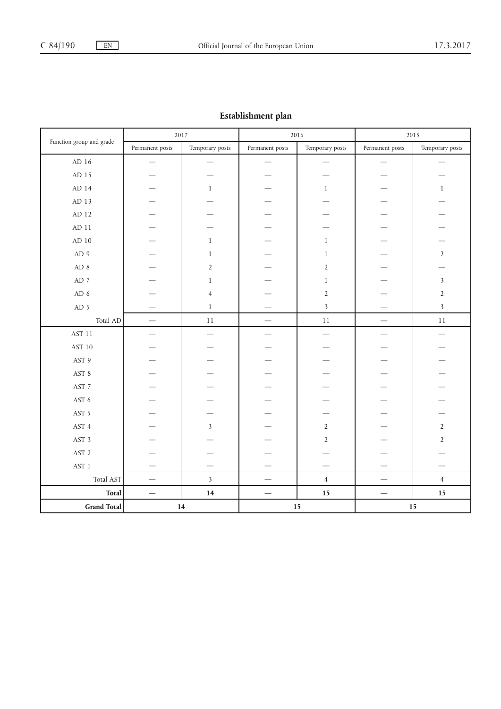## **Establishment plan**

|                          | 2017            |                         | 2016                            |                         | 2015                     |                         |
|--------------------------|-----------------|-------------------------|---------------------------------|-------------------------|--------------------------|-------------------------|
| Function group and grade | Permanent posts | Temporary posts         | Permanent posts                 | Temporary posts         | Permanent posts          | Temporary posts         |
| $\mbox{AD}$ 16           |                 | --                      |                                 |                         |                          |                         |
| AD 15                    |                 |                         |                                 |                         |                          |                         |
| AD 14                    |                 | $\mathbf{1}$            |                                 | $\mathbf{1}$            |                          | $\mathbf{1}$            |
| $AD$ 13                  |                 |                         |                                 |                         |                          |                         |
| AD 12                    |                 |                         |                                 |                         |                          |                         |
| AD 11                    |                 |                         |                                 |                         |                          |                         |
| AD 10                    |                 | $\mathbf{1}$            |                                 | $\,1$                   |                          |                         |
| AD 9                     |                 | $\mathbf{1}$            |                                 | $\mathbf{1}$            |                          | $\overline{2}$          |
| AD 8                     |                 | $\overline{2}$          |                                 | $\overline{2}$          |                          |                         |
| $AD$ 7                   |                 | $\,1$                   |                                 | $\,1$                   |                          | $\mathfrak{Z}$          |
| AD <sub>6</sub>          |                 | $\overline{4}$          |                                 | $\overline{2}$          |                          | $\overline{2}$          |
| AD 5                     |                 | $\,1$                   |                                 | $\overline{\mathbf{3}}$ |                          | $\overline{\mathbf{3}}$ |
| Total AD                 |                 | $11\,$                  |                                 | $11\,$                  | $\overline{\phantom{0}}$ | $11\,$                  |
| <b>AST 11</b>            |                 |                         |                                 |                         |                          |                         |
| AST 10                   |                 |                         |                                 |                         |                          |                         |
| AST 9                    |                 |                         |                                 |                         |                          |                         |
| AST 8                    |                 |                         |                                 |                         |                          |                         |
| AST 7                    |                 |                         |                                 |                         |                          |                         |
| AST 6                    |                 |                         |                                 |                         |                          |                         |
| AST 5                    |                 |                         |                                 |                         |                          |                         |
| AST 4                    |                 | $\overline{\mathbf{3}}$ |                                 | $\sqrt{2}$              |                          | $\overline{2}$          |
| AST 3                    |                 |                         |                                 | $\overline{2}$          |                          | $\overline{2}$          |
| AST <sub>2</sub>         |                 |                         |                                 |                         |                          |                         |
| $\operatorname{AST}$ 1   |                 |                         |                                 |                         |                          |                         |
| Total AST                |                 | $\overline{\mathbf{3}}$ | $\overbrace{\qquad \qquad }^{}$ | $\overline{4}$          |                          | $\overline{4}$          |
| <b>Total</b>             |                 | $14\,$                  |                                 | $15\,$                  |                          | 15                      |
| Grand Total              |                 | $14\,$                  |                                 | $15\,$                  | 15                       |                         |